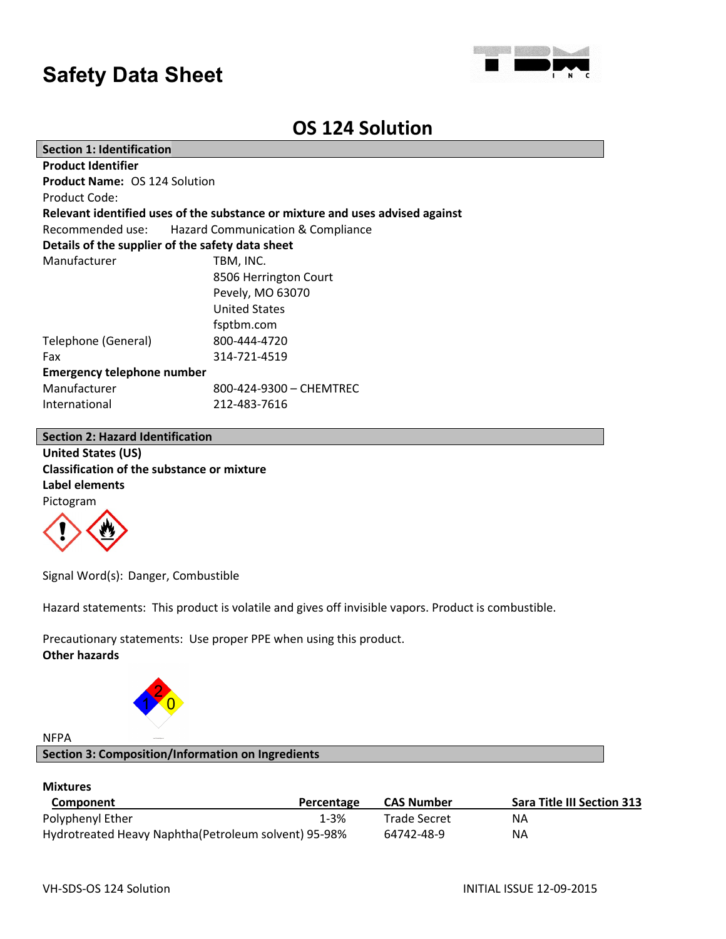

### **OS 124 Solution**

| <b>Section 1: Identification</b>                                              |                         |  |  |  |
|-------------------------------------------------------------------------------|-------------------------|--|--|--|
| <b>Product Identifier</b>                                                     |                         |  |  |  |
| <b>Product Name: OS 124 Solution</b>                                          |                         |  |  |  |
| Product Code:                                                                 |                         |  |  |  |
| Relevant identified uses of the substance or mixture and uses advised against |                         |  |  |  |
| Recommended use: Hazard Communication & Compliance                            |                         |  |  |  |
| Details of the supplier of the safety data sheet                              |                         |  |  |  |
| Manufacturer                                                                  | TBM, INC.               |  |  |  |
|                                                                               | 8506 Herrington Court   |  |  |  |
|                                                                               | Pevely, MO 63070        |  |  |  |
|                                                                               | <b>United States</b>    |  |  |  |
|                                                                               | fsptbm.com              |  |  |  |
| Telephone (General)                                                           | 800-444-4720            |  |  |  |
| Fax                                                                           | 314-721-4519            |  |  |  |
| <b>Emergency telephone number</b>                                             |                         |  |  |  |
| Manufacturer                                                                  | 800-424-9300 - CHEMTREC |  |  |  |
| International                                                                 | 212-483-7616            |  |  |  |
|                                                                               |                         |  |  |  |

### **Section 2: Hazard Identification**

**United States (US) Classification of the substance or mixture Label elements** Pictogram



Signal Word(s): Danger, Combustible

Hazard statements: This product is volatile and gives off invisible vapors. Product is combustible.

Precautionary statements: Use proper PPE when using this product. **Other hazards**



### NFPA

### **Section 3: Composition/Information on Ingredients**

### **Mixtures**

| Component                                            | Percentage | <b>CAS Number</b> | <b>Sara Title III Section 313</b> |
|------------------------------------------------------|------------|-------------------|-----------------------------------|
| Polyphenyl Ether                                     | 1-3%       | Trade Secret      | ΝA                                |
| Hydrotreated Heavy Naphtha(Petroleum solvent) 95-98% |            | 64742-48-9        | ΝA                                |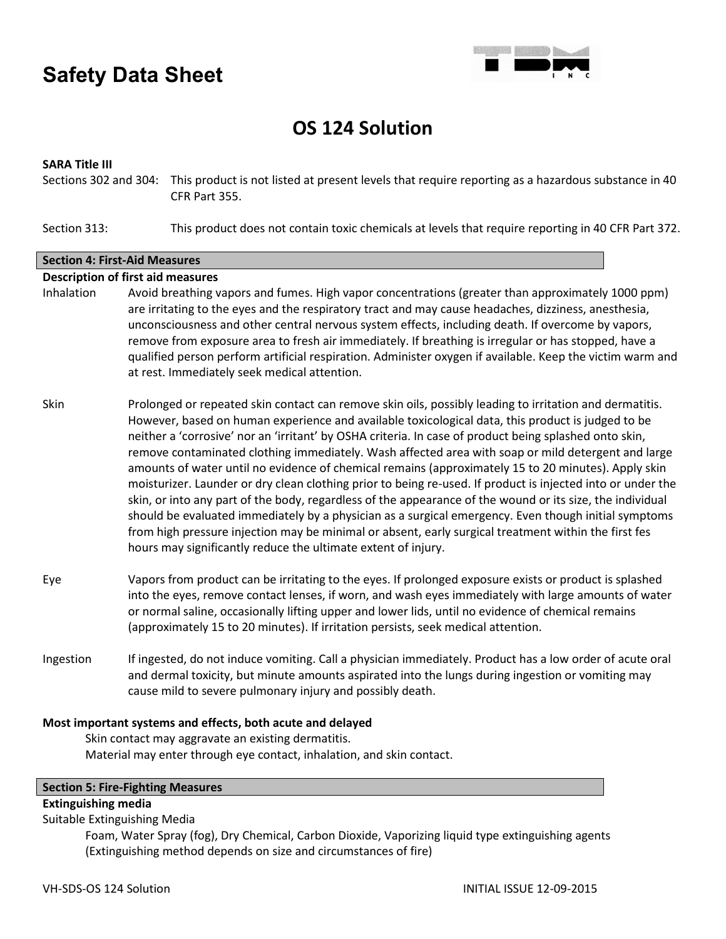

## **OS 124 Solution**

### **SARA Title III**

Sections 302 and 304: This product is not listed at present levels that require reporting as a hazardous substance in 40 CFR Part 355.

Section 313: This product does not contain toxic chemicals at levels that require reporting in 40 CFR Part 372.

### **Section 4: First-Aid Measures**

### **Description of first aid measures**

- Inhalation Avoid breathing vapors and fumes. High vapor concentrations (greater than approximately 1000 ppm) are irritating to the eyes and the respiratory tract and may cause headaches, dizziness, anesthesia, unconsciousness and other central nervous system effects, including death. If overcome by vapors, remove from exposure area to fresh air immediately. If breathing is irregular or has stopped, have a qualified person perform artificial respiration. Administer oxygen if available. Keep the victim warm and at rest. Immediately seek medical attention.
- Skin Prolonged or repeated skin contact can remove skin oils, possibly leading to irritation and dermatitis. However, based on human experience and available toxicological data, this product is judged to be neither a 'corrosive' nor an 'irritant' by OSHA criteria. In case of product being splashed onto skin, remove contaminated clothing immediately. Wash affected area with soap or mild detergent and large amounts of water until no evidence of chemical remains (approximately 15 to 20 minutes). Apply skin moisturizer. Launder or dry clean clothing prior to being re-used. If product is injected into or under the skin, or into any part of the body, regardless of the appearance of the wound or its size, the individual should be evaluated immediately by a physician as a surgical emergency. Even though initial symptoms from high pressure injection may be minimal or absent, early surgical treatment within the first fes hours may significantly reduce the ultimate extent of injury.
- Eye Vapors from product can be irritating to the eyes. If prolonged exposure exists or product is splashed into the eyes, remove contact lenses, if worn, and wash eyes immediately with large amounts of water or normal saline, occasionally lifting upper and lower lids, until no evidence of chemical remains (approximately 15 to 20 minutes). If irritation persists, seek medical attention.
- Ingestion If ingested, do not induce vomiting. Call a physician immediately. Product has a low order of acute oral and dermal toxicity, but minute amounts aspirated into the lungs during ingestion or vomiting may cause mild to severe pulmonary injury and possibly death.

### **Most important systems and effects, both acute and delayed**

Skin contact may aggravate an existing dermatitis. Material may enter through eye contact, inhalation, and skin contact.

### **Section 5: Fire-Fighting Measures**

### **Extinguishing media**

Suitable Extinguishing Media

Foam, Water Spray (fog), Dry Chemical, Carbon Dioxide, Vaporizing liquid type extinguishing agents (Extinguishing method depends on size and circumstances of fire)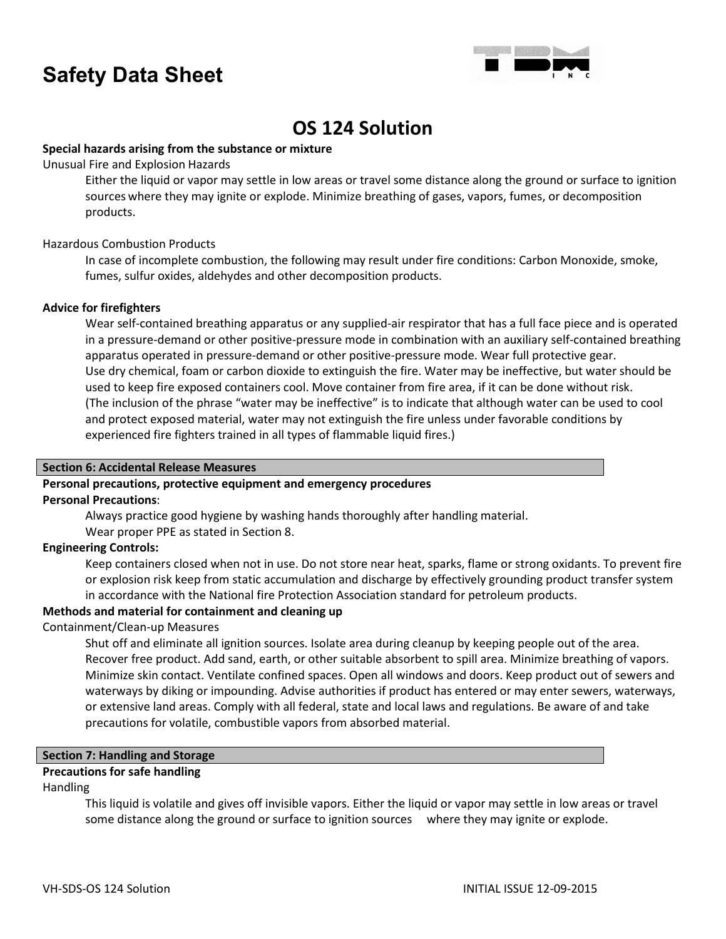

## **OS 124 Solution**

### **Special hazards arising from the substance or mixture**

Unusual Fire and Explosion Hazards

Either the liquid or vapor may settle in low areas or travel some distance along the ground or surface to ignition sources where they may ignite or explode. Minimize breathing of gases, vapors, fumes, or decomposition products.

### Hazardous Combustion Products

In case of incomplete combustion, the following may result under fire conditions: Carbon Monoxide, smoke, fumes, sulfur oxides, aldehydes and other decomposition products.

### **Advice for firefighters**

Wear self-contained breathing apparatus or any supplied-air respirator that has a full face piece and is operated in a pressure-demand or other positive-pressure mode in combination with an auxiliary self-contained breathing apparatus operated in pressure-demand or other positive-pressure mode. Wear full protective gear. Use dry chemical, foam or carbon dioxide to extinguish the fire. Water may be ineffective, but water should be used to keep fire exposed containers cool. Move container from fire area, if it can be done without risk. (The inclusion of the phrase "water may be ineffective" is to indicate that although water can be used to cool and protect exposed material, water may not extinguish the fire unless under favorable conditions by experienced fire fighters trained in all types of flammable liquid fires.)

### **Section 6: Accidental Release Measures**

### **Personal precautions, protective equipment and emergency procedures**

### **Personal Precautions**:

Always practice good hygiene by washing hands thoroughly after handling material.

Wear proper PPE as stated in Section 8.

### **Engineering Controls:**

Keep containers closed when not in use. Do not store near heat, sparks, flame or strong oxidants. To prevent fire or explosion risk keep from static accumulation and discharge by effectively grounding product transfer system in accordance with the National fire Protection Association standard for petroleum products.

### **Methods and material for containment and cleaning up**

### Containment/Clean-up Measures

Shut off and eliminate all ignition sources. Isolate area during cleanup by keeping people out of the area. Recover free product. Add sand, earth, or other suitable absorbent to spill area. Minimize breathing of vapors. Minimize skin contact. Ventilate confined spaces. Open all windows and doors. Keep product out of sewers and waterways by diking or impounding. Advise authorities if product has entered or may enter sewers, waterways, or extensive land areas. Comply with all federal, state and local laws and regulations. Be aware of and take precautions for volatile, combustible vapors from absorbed material.

### **Section 7: Handling and Storage**

### **Precautions for safe handling**

### Handling

This liquid is volatile and gives off invisible vapors. Either the liquid or vapor may settle in low areas or travel some distance along the ground or surface to ignition sources where they may ignite or explode.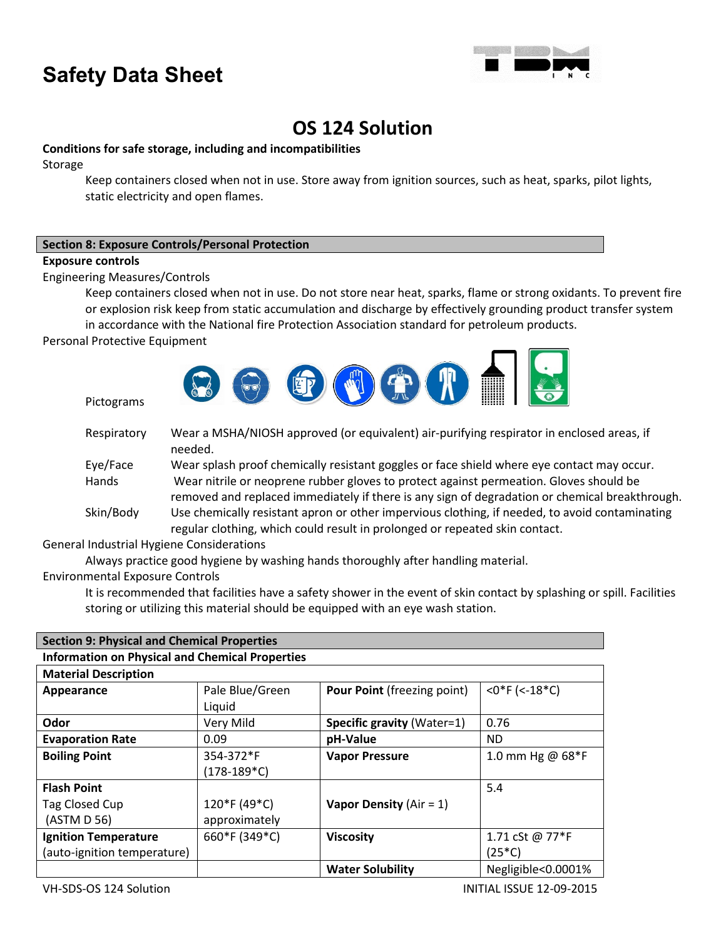

## **OS 124 Solution**

### **Conditions for safe storage, including and incompatibilities**

Storage

Keep containers closed when not in use. Store away from ignition sources, such as heat, sparks, pilot lights, static electricity and open flames.

### **Section 8: Exposure Controls/Personal Protection**

### **Exposure controls**

Engineering Measures/Controls

Keep containers closed when not in use. Do not store near heat, sparks, flame or strong oxidants. To prevent fire or explosion risk keep from static accumulation and discharge by effectively grounding product transfer system

in accordance with the National fire Protection Association standard for petroleum products.

Personal Protective Equipment

Pictograms



| Respiratory | Wear a MSHA/NIOSH approved (or equivalent) air-purifying respirator in enclosed areas, if<br>needed.                                                                                     |
|-------------|------------------------------------------------------------------------------------------------------------------------------------------------------------------------------------------|
| Eye/Face    | Wear splash proof chemically resistant goggles or face shield where eye contact may occur.                                                                                               |
| Hands       | Wear nitrile or neoprene rubber gloves to protect against permeation. Gloves should be<br>removed and replaced immediately if there is any sign of degradation or chemical breakthrough. |
| Skin/Body   | Use chemically resistant apron or other impervious clothing, if needed, to avoid contaminating<br>regular clothing, which could result in prolonged or repeated skin contact.            |

General Industrial Hygiene Considerations

Always practice good hygiene by washing hands thoroughly after handling material.

Environmental Exposure Controls

It is recommended that facilities have a safety shower in the event of skin contact by splashing or spill. Facilities storing or utilizing this material should be equipped with an eye wash station.

| <b>Section 9: Physical and Chemical Properties</b>     |                 |                                    |                    |  |  |
|--------------------------------------------------------|-----------------|------------------------------------|--------------------|--|--|
| <b>Information on Physical and Chemical Properties</b> |                 |                                    |                    |  |  |
| <b>Material Description</b>                            |                 |                                    |                    |  |  |
| Appearance                                             | Pale Blue/Green | <b>Pour Point (freezing point)</b> | $<$ 0*F (<-18*C)   |  |  |
|                                                        | Liquid          |                                    |                    |  |  |
| Odor                                                   | Very Mild       | Specific gravity (Water=1)         | 0.76               |  |  |
| <b>Evaporation Rate</b>                                | 0.09            | pH-Value                           | ND.                |  |  |
| <b>Boiling Point</b>                                   | 354-372*F       | <b>Vapor Pressure</b>              | 1.0 mm Hg @ 68*F   |  |  |
|                                                        | (178-189*C)     |                                    |                    |  |  |
| <b>Flash Point</b>                                     |                 |                                    | 5.4                |  |  |
| Tag Closed Cup                                         | 120*F (49*C)    | Vapor Density ( $Air = 1$ )        |                    |  |  |
| (ASTM D 56)                                            | approximately   |                                    |                    |  |  |
| <b>Ignition Temperature</b>                            | 660*F (349*C)   | <b>Viscosity</b>                   | 1.71 cSt @ 77*F    |  |  |
| (auto-ignition temperature)                            |                 |                                    | $(25*C)$           |  |  |
|                                                        |                 | <b>Water Solubility</b>            | Negligible<0.0001% |  |  |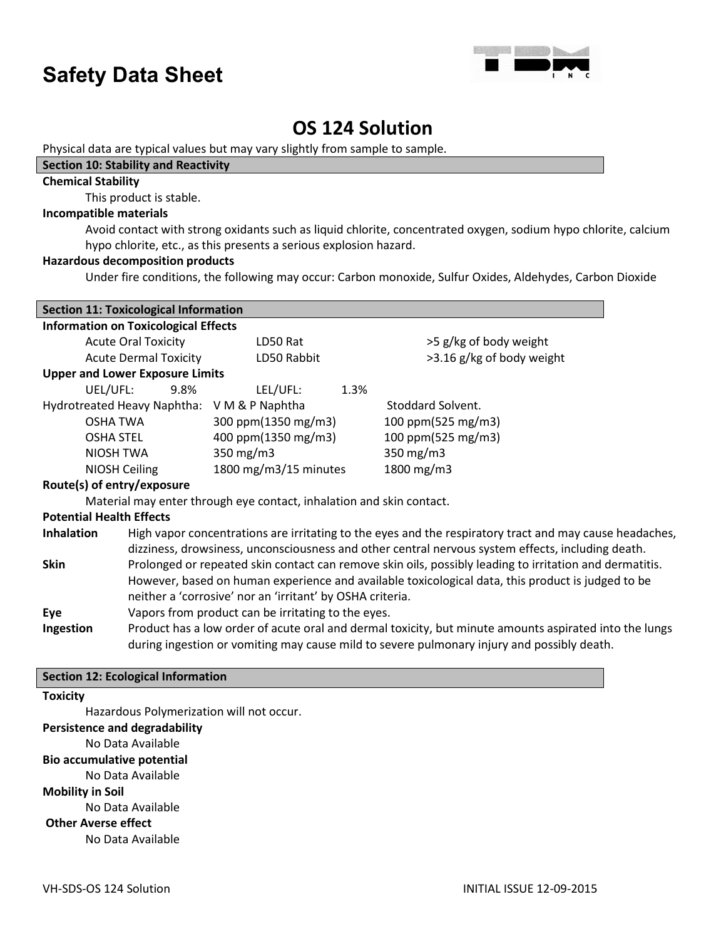

### **OS 124 Solution**

Physical data are typical values but may vary slightly from sample to sample.

### **Section 10: Stability and Reactivity**

### **Chemical Stability**

This product is stable.

### **Incompatible materials**

Avoid contact with strong oxidants such as liquid chlorite, concentrated oxygen, sodium hypo chlorite, calcium hypo chlorite, etc., as this presents a serious explosion hazard.

### **Hazardous decomposition products**

Under fire conditions, the following may occur: Carbon monoxide, Sulfur Oxides, Aldehydes, Carbon Dioxide

| <b>Section 11: Toxicological Information</b>                                                                                                                                                                                      |                                                                      |                           |  |
|-----------------------------------------------------------------------------------------------------------------------------------------------------------------------------------------------------------------------------------|----------------------------------------------------------------------|---------------------------|--|
| <b>Information on Toxicological Effects</b>                                                                                                                                                                                       |                                                                      |                           |  |
| <b>Acute Oral Toxicity</b>                                                                                                                                                                                                        | LD50 Rat                                                             | >5 g/kg of body weight    |  |
| <b>Acute Dermal Toxicity</b>                                                                                                                                                                                                      | LD50 Rabbit                                                          | >3.16 g/kg of body weight |  |
| <b>Upper and Lower Exposure Limits</b>                                                                                                                                                                                            |                                                                      |                           |  |
| UEL/UFL:<br>9.8%                                                                                                                                                                                                                  | LEL/UFL:                                                             | 1.3%                      |  |
| Hydrotreated Heavy Naphtha: V M & P Naphtha                                                                                                                                                                                       |                                                                      | Stoddard Solvent.         |  |
| OSHA TWA                                                                                                                                                                                                                          | 300 ppm(1350 mg/m3)                                                  | 100 ppm(525 mg/m3)        |  |
| <b>OSHA STEL</b>                                                                                                                                                                                                                  | 400 ppm(1350 mg/m3)                                                  | 100 ppm(525 mg/m3)        |  |
| NIOSH TWA                                                                                                                                                                                                                         | 350 $mg/m3$                                                          | 350 mg/m3                 |  |
| NIOSH Ceiling                                                                                                                                                                                                                     | 1800 mg/m3/15 minutes                                                | 1800 mg/m3                |  |
| Route(s) of entry/exposure                                                                                                                                                                                                        |                                                                      |                           |  |
|                                                                                                                                                                                                                                   | Material may enter through eye contact, inhalation and skin contact. |                           |  |
| <b>Potential Health Effects</b>                                                                                                                                                                                                   |                                                                      |                           |  |
| High vapor concentrations are irritating to the eyes and the respiratory tract and may cause headaches,<br><b>Inhalation</b><br>dizziness, drowsiness, unconsciousness and other central nervous system effects, including death. |                                                                      |                           |  |
| <b>Skin</b><br>Prolonged or repeated skin contact can remove skin oils, possibly leading to irritation and dermatitis.                                                                                                            |                                                                      |                           |  |
| However, based on human experience and available toxicological data, this product is judged to be                                                                                                                                 |                                                                      |                           |  |
| neither a 'corrosive' nor an 'irritant' by OSHA criteria.<br>Eye                                                                                                                                                                  |                                                                      |                           |  |
| Vapors from product can be irritating to the eyes.                                                                                                                                                                                |                                                                      |                           |  |
| Product has a low order of acute oral and dermal toxicity, but minute amounts aspirated into the lungs<br>Ingestion<br>during ingestion or vomiting may cause mild to severe pulmonary injury and possibly death.                 |                                                                      |                           |  |
|                                                                                                                                                                                                                                   |                                                                      |                           |  |

### **Section 12: Ecological Information**

### **Toxicity**

Hazardous Polymerization will not occur.

### **Persistence and degradability**

No Data Available

### **Bio accumulative potential**

No Data Available

**Mobility in Soil**

No Data Available

### **Other Averse effect**

No Data Available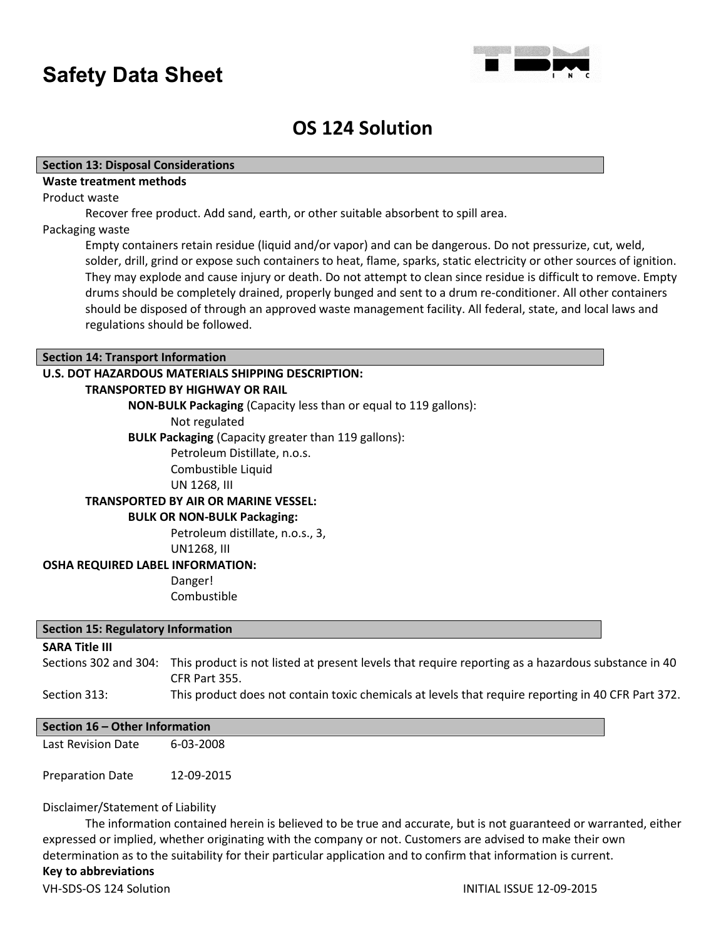

### **OS 124 Solution**

### **Section 13: Disposal Considerations**

### **Waste treatment methods**

Product waste

Recover free product. Add sand, earth, or other suitable absorbent to spill area.

#### Packaging waste

Empty containers retain residue (liquid and/or vapor) and can be dangerous. Do not pressurize, cut, weld, solder, drill, grind or expose such containers to heat, flame, sparks, static electricity or other sources of ignition. They may explode and cause injury or death. Do not attempt to clean since residue is difficult to remove. Empty drums should be completely drained, properly bunged and sent to a drum re-conditioner. All other containers should be disposed of through an approved waste management facility. All federal, state, and local laws and regulations should be followed.

### **Section 14: Transport Information**

### **U.S. DOT HAZARDOUS MATERIALS SHIPPING DESCRIPTION:**

#### **TRANSPORTED BY HIGHWAY OR RAIL**

**NON-BULK Packaging** (Capacity less than or equal to 119 gallons):

Not regulated

**BULK Packaging** (Capacity greater than 119 gallons):

Petroleum Distillate, n.o.s. Combustible Liquid

UN 1268, III

### **TRANSPORTED BY AIR OR MARINE VESSEL:**

### **BULK OR NON-BULK Packaging:**

Petroleum distillate, n.o.s., 3, UN1268, III

#### **OSHA REQUIRED LABEL INFORMATION:**

Danger! Combustible

#### **Section 15: Regulatory Information**

### **SARA Title III**

Sections 302 and 304: This product is not listed at present levels that require reporting as a hazardous substance in 40 CFR Part 355.

### Section 313: This product does not contain toxic chemicals at levels that require reporting in 40 CFR Part 372.

#### **Section 16 – Other Information**

Last Revision Date 6-03-2008

Preparation Date 12-09-2015

### Disclaimer/Statement of Liability

The information contained herein is believed to be true and accurate, but is not guaranteed or warranted, either expressed or implied, whether originating with the company or not. Customers are advised to make their own determination as to the suitability for their particular application and to confirm that information is current. **Key to abbreviations**